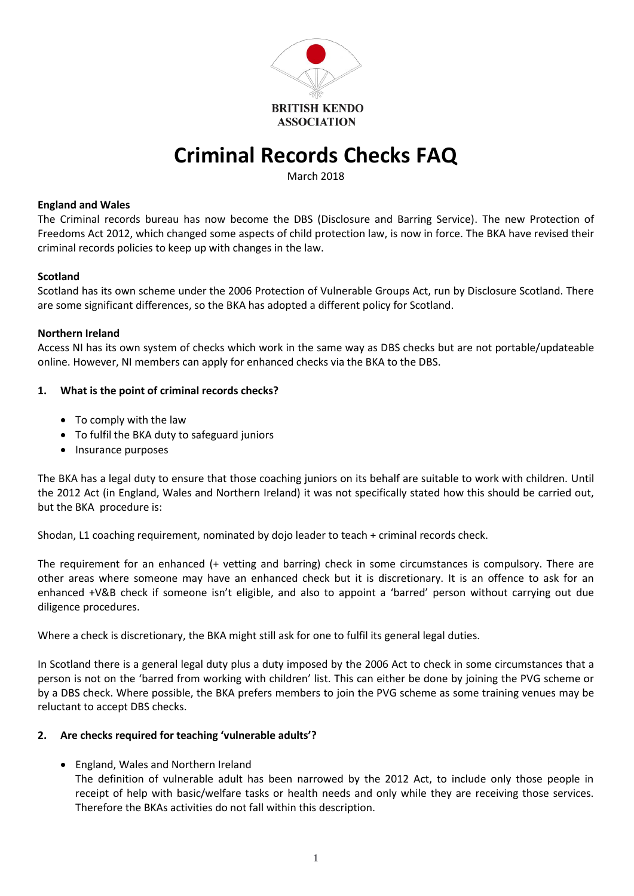

# **Criminal Records Checks FAQ**

March 2018

#### **England and Wales**

The Criminal records bureau has now become the DBS (Disclosure and Barring Service). The new Protection of Freedoms Act 2012, which changed some aspects of child protection law, is now in force. The BKA have revised their criminal records policies to keep up with changes in the law.

#### **Scotland**

Scotland has its own scheme under the 2006 Protection of Vulnerable Groups Act, run by Disclosure Scotland. There are some significant differences, so the BKA has adopted a different policy for Scotland.

#### **Northern Ireland**

Access NI has its own system of checks which work in the same way as DBS checks but are not portable/updateable online. However, NI members can apply for enhanced checks via the BKA to the DBS.

#### **1. What is the point of criminal records checks?**

- To comply with the law
- To fulfil the BKA duty to safeguard juniors
- Insurance purposes

The BKA has a legal duty to ensure that those coaching juniors on its behalf are suitable to work with children. Until the 2012 Act (in England, Wales and Northern Ireland) it was not specifically stated how this should be carried out, but the BKA procedure is:

Shodan, L1 coaching requirement, nominated by dojo leader to teach + criminal records check.

The requirement for an enhanced (+ vetting and barring) check in some circumstances is compulsory. There are other areas where someone may have an enhanced check but it is discretionary. It is an offence to ask for an enhanced +V&B check if someone isn't eligible, and also to appoint a 'barred' person without carrying out due diligence procedures.

Where a check is discretionary, the BKA might still ask for one to fulfil its general legal duties.

In Scotland there is a general legal duty plus a duty imposed by the 2006 Act to check in some circumstances that a person is not on the 'barred from working with children' list. This can either be done by joining the PVG scheme or by a DBS check. Where possible, the BKA prefers members to join the PVG scheme as some training venues may be reluctant to accept DBS checks.

#### **2. Are checks required for teaching 'vulnerable adults'?**

- England, Wales and Northern Ireland
	- The definition of vulnerable adult has been narrowed by the 2012 Act, to include only those people in receipt of help with basic/welfare tasks or health needs and only while they are receiving those services. Therefore the BKAs activities do not fall within this description.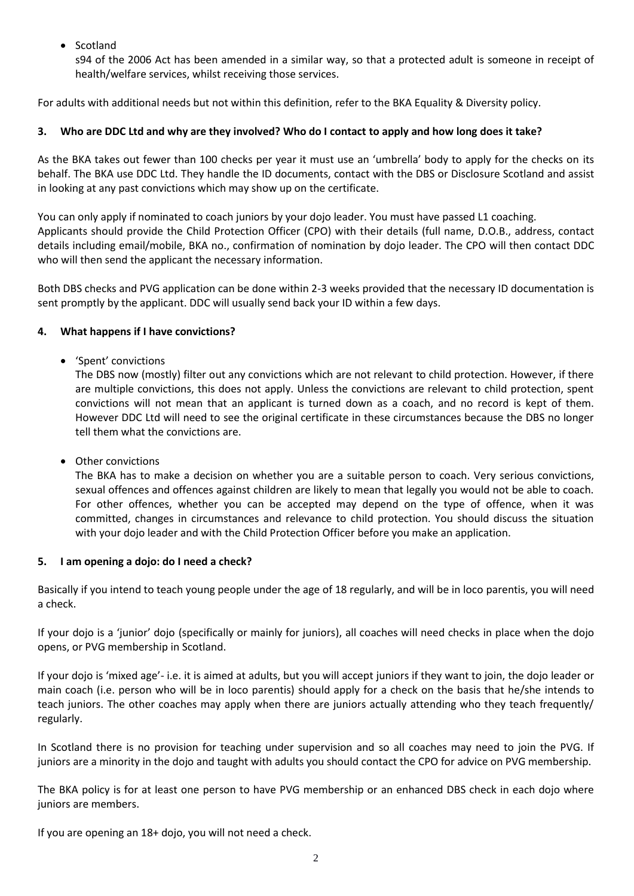• Scotland

s94 of the 2006 Act has been amended in a similar way, so that a protected adult is someone in receipt of health/welfare services, whilst receiving those services.

For adults with additional needs but not within this definition, refer to the BKA Equality & Diversity policy.

## **3. Who are DDC Ltd and why are they involved? Who do I contact to apply and how long does it take?**

As the BKA takes out fewer than 100 checks per year it must use an 'umbrella' body to apply for the checks on its behalf. The BKA use DDC Ltd. They handle the ID documents, contact with the DBS or Disclosure Scotland and assist in looking at any past convictions which may show up on the certificate.

You can only apply if nominated to coach juniors by your dojo leader. You must have passed L1 coaching. Applicants should provide the Child Protection Officer (CPO) with their details (full name, D.O.B., address, contact details including email/mobile, BKA no., confirmation of nomination by dojo leader. The CPO will then contact DDC who will then send the applicant the necessary information.

Both DBS checks and PVG application can be done within 2-3 weeks provided that the necessary ID documentation is sent promptly by the applicant. DDC will usually send back your ID within a few days.

## **4. What happens if I have convictions?**

'Spent' convictions

The DBS now (mostly) filter out any convictions which are not relevant to child protection. However, if there are multiple convictions, this does not apply. Unless the convictions are relevant to child protection, spent convictions will not mean that an applicant is turned down as a coach, and no record is kept of them. However DDC Ltd will need to see the original certificate in these circumstances because the DBS no longer tell them what the convictions are.

Other convictions

The BKA has to make a decision on whether you are a suitable person to coach. Very serious convictions, sexual offences and offences against children are likely to mean that legally you would not be able to coach. For other offences, whether you can be accepted may depend on the type of offence, when it was committed, changes in circumstances and relevance to child protection. You should discuss the situation with your dojo leader and with the Child Protection Officer before you make an application.

## **5. I am opening a dojo: do I need a check?**

Basically if you intend to teach young people under the age of 18 regularly, and will be in loco parentis, you will need a check.

If your dojo is a 'junior' dojo (specifically or mainly for juniors), all coaches will need checks in place when the dojo opens, or PVG membership in Scotland.

If your dojo is 'mixed age'- i.e. it is aimed at adults, but you will accept juniors if they want to join, the dojo leader or main coach (i.e. person who will be in loco parentis) should apply for a check on the basis that he/she intends to teach juniors. The other coaches may apply when there are juniors actually attending who they teach frequently/ regularly.

In Scotland there is no provision for teaching under supervision and so all coaches may need to join the PVG. If juniors are a minority in the dojo and taught with adults you should contact the CPO for advice on PVG membership.

The BKA policy is for at least one person to have PVG membership or an enhanced DBS check in each dojo where juniors are members.

If you are opening an 18+ dojo, you will not need a check.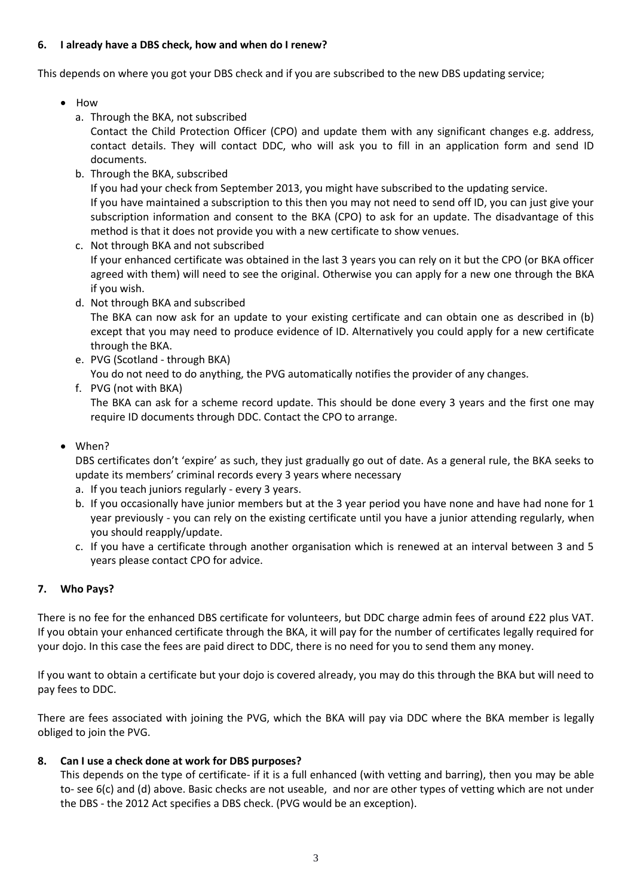#### **6. I already have a DBS check, how and when do I renew?**

This depends on where you got your DBS check and if you are subscribed to the new DBS updating service;

- How
	- a. Through the BKA, not subscribed

Contact the Child Protection Officer (CPO) and update them with any significant changes e.g. address, contact details. They will contact DDC, who will ask you to fill in an application form and send ID documents.

b. Through the BKA, subscribed

If you had your check from September 2013, you might have subscribed to the updating service.

If you have maintained a subscription to this then you may not need to send off ID, you can just give your subscription information and consent to the BKA (CPO) to ask for an update. The disadvantage of this method is that it does not provide you with a new certificate to show venues.

- c. Not through BKA and not subscribed If your enhanced certificate was obtained in the last 3 years you can rely on it but the CPO (or BKA officer agreed with them) will need to see the original. Otherwise you can apply for a new one through the BKA if you wish.
- d. Not through BKA and subscribed

The BKA can now ask for an update to your existing certificate and can obtain one as described in (b) except that you may need to produce evidence of ID. Alternatively you could apply for a new certificate through the BKA.

- e. PVG (Scotland through BKA)
- You do not need to do anything, the PVG automatically notifies the provider of any changes. f. PVG (not with BKA)

The BKA can ask for a scheme record update. This should be done every 3 years and the first one may require ID documents through DDC. Contact the CPO to arrange.

When?

DBS certificates don't 'expire' as such, they just gradually go out of date. As a general rule, the BKA seeks to update its members' criminal records every 3 years where necessary

- a. If you teach juniors regularly every 3 years.
- b. If you occasionally have junior members but at the 3 year period you have none and have had none for 1 year previously - you can rely on the existing certificate until you have a junior attending regularly, when you should reapply/update.
- c. If you have a certificate through another organisation which is renewed at an interval between 3 and 5 years please contact CPO for advice.

## **7. Who Pays?**

There is no fee for the enhanced DBS certificate for volunteers, but DDC charge admin fees of around £22 plus VAT. If you obtain your enhanced certificate through the BKA, it will pay for the number of certificates legally required for your dojo. In this case the fees are paid direct to DDC, there is no need for you to send them any money.

If you want to obtain a certificate but your dojo is covered already, you may do this through the BKA but will need to pay fees to DDC.

There are fees associated with joining the PVG, which the BKA will pay via DDC where the BKA member is legally obliged to join the PVG.

## **8. Can I use a check done at work for DBS purposes?**

This depends on the type of certificate- if it is a full enhanced (with vetting and barring), then you may be able to- see 6(c) and (d) above. Basic checks are not useable, and nor are other types of vetting which are not under the DBS - the 2012 Act specifies a DBS check. (PVG would be an exception).